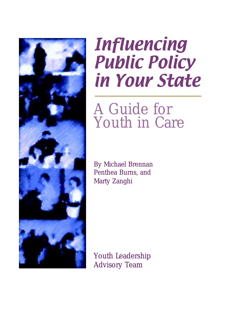

# Influencing Public Policy in Your State

A Guide for Youth in Care

By Michael Brennan Penthea Burns, and Marty Zanghi

Youth Leadership Advisory Team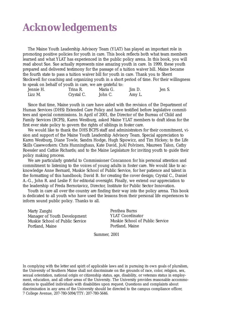## **Acknowledgements**

The Maine Youth Leadership Advisory Team (YLAT) has played an important role in promoting positive policies for youth in care. This book reflects both what team members learned and what YLAT has experienced in the public policy arena. In this book, you will read about Sue. Sue actually represents nine amazing youth in care. In 1999, these youth prepared and delivered testimony for the passage of a tuition waiver bill. Maine became the fourth state to pass a tuition waiver bill for youth in care. Thank you to Sherri Stockwell for coaching and organizing youth in a short period of time. For their willingness to speak on behalf of youth in care, we are grateful to:

| Jennie H. | Trina R.   | Maria G. | Jim D  | Jen S. |
|-----------|------------|----------|--------|--------|
| Lizz M.   | Crystal C. | John C.  | Amy L. |        |

Since that time, Maine youth in care have aided with the revision of the Department of Human Services (DHS) Extended Care Policy and have testified before legislative committees and special commissions. In April of 2001, the Director of the Bureau of Child and Family Services (BCFS), Karen Westburg, asked Maine YLAT members to draft ideas for the first ever state policy to govern the rights of siblings in foster care.

We would like to thank the DHS BCFS staff and administrators for their commitment, vision and support of the Maine Youth Leadership Advisory Team. Special appreciation to Karen Westburg, Diane Towle, Sandra Hodge, Hugh Sipowicz, and Tim Hickey; to the Life Skills Caseworkers: Chris Hunninghaus, Kate David, JoAl Polvinen, Maureen Talon, Cathy Roessler and Cathie Richards; and to the Maine Legislature for inviting youth to guide their policy making process.

We are particularly grateful to Commissioner Concannon for his personal attention and commitment to listening to the voices of young adults in foster care. We would like to acknowledge Anne Bernard, Muskie School of Public Service, for her patience and talent in the formatting of this handbook; David B. for creating the cover design; Crystal C., Daniel A.-G., John R. and Leslie F. for editorial oversight. Finally, we extend our appreciation to the leadership of Freda Bernotavicz, Director, Institute for Public Sector Innovation.

Youth in care all over the country are finding their way into the policy arena. This book is dedicated to all youth who have used the lessons from their personal life experiences to inform sound public policy. Thanks to all.

Marty Zanghi Manager of Youth Development Muskie School of Public Service Portland, Maine

Penthea Burns YLAT Coordinator Muskie School of Public Service Portland, Maine

Summer, 2001

In complying with the letter and spirit of applicable laws and in pursuing its own goals of pluralism, the University of Southern Maine shall not discriminate on the grounds of race, color, religion, sex, sexual orientation, national origin or citizenship status, age, disability, or veterans status in employment, education, and all other areas of the University. The University provides reasonable accommodations to qualified individuals with disabilities upon request. Questions and complaints about discrimination in any area of the University should be directed to the campus compliance officer, 7 College Avenue, 207-780-5094/TTY: 207-780-5646.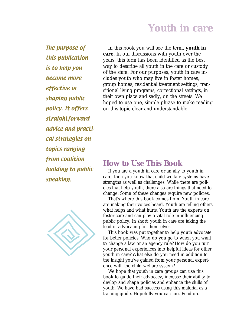## **Youth in care**

The purpose of this publication is to help you become more effective in shaping public policy. It offers straightforward advice and practical strategies on topics ranging from coalition building to public speaking.



In this book you will see the term, **youth in care.** In our discussions with youth over the years, this term has been identified as the best way to describe all youth in the care or custody of the state. For our purposes, youth in care includes youth who may live in foster homes, group homes, residential treatment settings, transitional living programs, correctional settings, in their own place and sadly, on the streets. We hoped to use one, simple phrase to make reading on this topic clear and understandable.

#### **How to Use This Book**

If you are a youth in care or an ally to youth in care, then you know that child welfare systems have strengths as well as challenges. While there are policies that help youth, there also are things that need to change. Some of these changes require new policies.

That's where this book comes from. Youth in care are making their voices heard. Youth are telling others what helps and what hurts. Youth are the experts on foster care and can play a vital role in influencing public policy. In short, youth in care are taking the lead in advocating for themselves.

This book was put together to help youth advocate for better policies. Who do you go to when you want to change a law or an agency rule? How do you turn your personal experiences into helpful ideas for other youth in care? What else do you need in addition to the insight you've gained from your personal experience with the child welfare system?

We hope that youth in care groups can use this book to guide their advocacy, increase their ability to devlop and shape policies and enhance the skills of youth. We have had success using this material as a training guide. Hopefully you can too. Read on.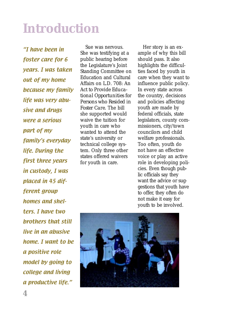## **Introduction**

"I have been in foster care for 6 years. I was taken out of my home because my family life was very abusive and drugs were a serious part of my family's everyday life. During the first three years in custody, I was placed in 45 different group homes and shelters. I have two brothers that still live in an abusive home. I want to be a positive role model by going to college and living a productive life."

Sue was nervous. She was testifying at a public hearing before the Legislature's Joint Standing Committee on Education and Cultural Affairs on *L.D. 708: An Act to Provide Educational Opportunities for Persons who Resided in Foster Care*. The bill she supported would waive the tuition for youth in care who wanted to attend the state's university or technical college system. Only three other states offered waivers for youth in care.

Her story is an example of why this bill should pass. It also highlights the difficulties faced by youth in care when they want to influence public policy. In every state across the country, decisions and policies affecting youth are made by federal officials, state legislators, county commissioners, city/town councilors and child welfare professionals. Too often, youth do not have an effective voice or play an active role in developing policies. Even though public officials say they want the advice or suggestions that youth have to offer, they often do not make it easy for youth to be involved.

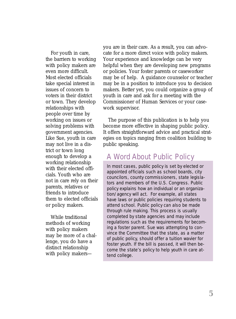For youth in care, the barriers to working with policy makers are even more difficult. Most elected officials take special interest in issues of concern to voters in their district or town. They develop relationships with people over time by working on issues or solving problems with government agencies. Like Sue, youth in care may not live in a district or town long enough to develop a working relationship with their elected officials. Youth who are not in care rely on their parents, relatives or friends to introduce them to elected officials or policy makers.

While traditional methods of working with policy makers may be more of a challenge, you do have a distinct relationship with policy makersyou are in their care. As a result, you can advocate for a more direct voice with policy makers. Your experience and knowledge can be very helpful when they are developing new programs or policies. Your foster parents or caseworker may be of help. A guidance counselor or teacher may be in a position to introduce you to decision makers. Better yet, you could organize a group of youth in care and ask for a meeting with the Commissioner of Human Services or your casework supervisor.

The purpose of this publication is to help you become more effective in shaping public policy. It offers straightforward advice and practical strategies on topics ranging from coalition building to public speaking.

### A Word About Public Policy

In most cases, public policy is set by elected or appointed officials such as school boards, city councilors, county commissioners, state legislators and members of the U.S. Congress. Public policy explains how an individual or an organization/agency will act. For example, all states have laws or public policies requiring students to attend school. Public policy can also be made through rule making. This process is usually completed by state agencies and may include regulations such as the requirements for becoming a foster parent. Sue was attempting to convince the Committee that the state, as a matter of public policy, should offer a tuition wavier for foster youth. If the bill is passed, it will then become the state's policy to help youth in care attend college.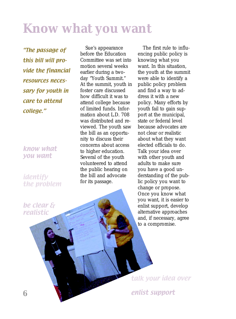## **Know what you want**

"The passage of this bill will provide the financial resources necessary for youth in care to attend college."

know what you want

identify the problem

be clear & realistic

Sue's appearance before the Education Committee was set into motion several weeks earlier during a twoday "Youth Summit." At the summit, youth in foster care discussed how difficult it was to attend college because of limited funds. Information about *L.D. 708* was distributed and reviewed. The youth saw the bill as an opportunity to discuss their concerns about access to higher education. Several of the youth volunteered to attend the public hearing on the bill and advocate for its passage.

The first rule to influencing public policy is knowing what you want. In this situation, the youth at the summit were able to identify a public policy problem and find a way to address it with a new policy. Many efforts by youth fail to gain support at the municipal, state or federal level because advocates are not clear or realistic about what they want elected officials to do. Talk your idea over with other youth and adults to make sure you have a good understanding of the public policy you want to change or propose. Once you know what you want, it is easier to enlist support, develop alternative approaches and, if necessary, agree to a compromise.

talk your idea over

enlist support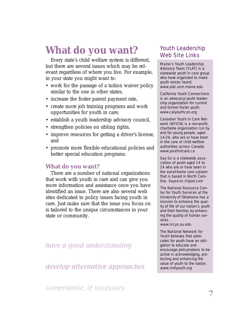## **What do you want?**

Every state's child welfare system is different, but there are several issues which may be relevant regardless of where you live. For example, in your state you might want to:

- work for the passage of a tuition waiver policy similar to the one in other states,
- increase the foster parent payment rate,
- create more job training programs and work opportunities for youth in care,
- establish a youth leadership advisory council,
- strengthen policies on sibling rights,
- improve resources for getting a driver's license, and
- promote more flexible educational policies and better special education programs.

#### **What do you want?**

There are a number of national organizations that work with youth in care and can give you more information and assistance once you have identified an issue. There are also several web sites dedicated to policy issues facing youth in care. Just make sure that the issue you focus on is tailored to the unique circumstances in your state or community.

have a good understanding

develop alternative approaches

compromise, if necessary

#### Youth Leadership Web Site Links

Maine's Youth Leadership Advisory Team (YLAT) is a statewide youth in care group who have organized to make youth voices heard. www.ylat.usm.maine.edu

California Youth Connections is an advocacy/youth leadership organization for current and former foster youth. www.calyouthcon.org

Canadian Youth in Care Network (NYICN) is a non-profit, charitable organization run by and for young people, aged 14-24, who are or have been in the care of child welfare authorities across Canada. www.youthincare.ca

Say So is a statewide association of youth aged 14 to 24 who are or have been in the out-of-home care system that is based in North Carolina. Sayso-nc.tripod.com

The National Resource Center for Youth Services at the University of Oklahoma has a mission to enhance the quality of life of our nation's youth and their families by enhancing the quality of human services.

#### www.nrcys.ou.edu

The National Network for Youth believes that advocates for youth have an obligation to educate and encourage policymakers to be active in acknowledging, protecting and enhancing the value of youth to the nation. www.nn4youth.org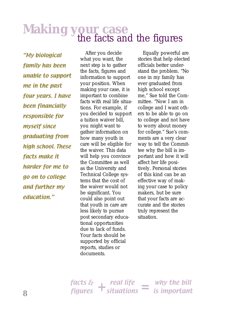## **Making your case** the facts and the figures

"My biological family has been unable to support me in the past four years. I have been financially responsible for myself since graduating from high school. These facts make it harder for me to go on to college and further my education."

After you decide what you want, the next step is to gather the facts, figures and information to support your position. When making your case, it is important to combine facts with real life situations. For example, if you decided to support a tuition waiver bill, you might want to gather information on how many youth in care will be eligible for the waiver. This data will help you convince the Committee as well as the University and Technical College systems that the cost of the waiver would not be significant. You could also point out that youth in care are less likely to pursue post secondary educational opportunities due to lack of funds. Your facts should be supported by official reports, studies or documents.

Equally powerful are stories that help elected officials better understand the problem. "No one in my family has ever graduated from high school except me," Sue told the Committee. "Now I am in college and I want others to be able to go on to college and not have to worry about money for college." Sue's comments are a very clear way to tell the Committee why the bill is important and how it will affect her life positively. Personal stories of this kind can be an effective way of making your case to policy makers, but be sure that your facts are accurate and the stories truly represent the situation.

facts & **the real life the why the bill**<br>figures + situations = is important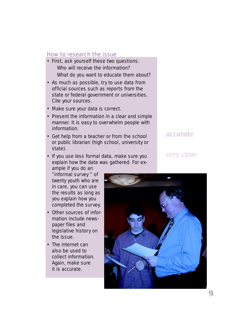#### How to research the issue

- First, ask yourself these two questions. Who will receive the information? What do you want to educate them about?
- As much as possible, try to use data from official sources such as reports from the state or federal government or universities. Cite your sources.
- Make sure your data is correct.
- Present the information in a clear and simple manner. It is easy to overwhelm people with information.
- Get help from a teacher or from the school or public librarian (high school, university or state).
- If you use less formal data, make sure you explain how the data was gathered. For ex-

#### accurate

#### very clear

ample if you do an "informal survey " of twenty youth who are in care, you can use the results as long as you explain how you completed the survey.

- Other sources of information include newspaper files and legislative history on the issue.
- The internet can also be used to collect information. Again, make sure it is accurate.

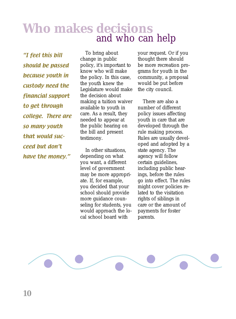## **Who makes decisions** and who can help

"I feel this bill should be passed because youth in custody need the financial support to get through college. There are so many youth that would succeed but don't have the money."

To bring about change in public policy, it's important to know who will make the policy. In this case, the youth knew the Legislature would make the decision about making a tuition waiver available to youth in care. As a result, they needed to appear at the public hearing on the bill and present testimony.

In other situations, depending on what you want, a different level of government may be more appropriate. If, for example, you decided that your school should provide more guidance counseling for students, you would approach the local school board with

your request. Or if you thought there should be more recreation programs for youth in the community, a proposal would be put before the city council.

There are also a number of different policy issues affecting youth in care that are developed through the rule making process. Rules are usually developed and adopted by a state agency. The agency will follow certain guidelines, including public hearings, before the rules go into effect. The rules might cover policies related to the visitation rights of siblings in care or the amount of payments for foster parents.

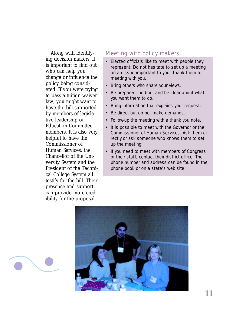Along with identifying decision makers, it is important to find out who can help you change or influence the policy being considered. If you were trying to pass a tuition waiver law, you might want to have the bill supported by members of legislative leadership or Education Committee members. It is also very helpful to have the Commissioner of Human Services, the Chancellor of the University System and the President of the Technical College System all testify for the bill. Their presence and support can provide more credibility for the proposal.

#### Meeting with policy makers

- Elected officials like to meet with people they represent. Do not hesitate to set up a meeting on an issue important to you. Thank them for meeting with you.
- Bring others who share your views.
- Be prepared, be brief and be clear about what you want them to do.
- Bring information that explains your request.
- Be direct but do not make demands.
- Follow-up the meeting with a thank you note.
- It is possible to meet with the Governor or the Commissioner of Human Services. Ask them directly or ask someone who knows them to set up the meeting.
- If you need to meet with members of Congress or their staff, contact their district office. The phone number and address can be found in the phone book or on a state's web site.



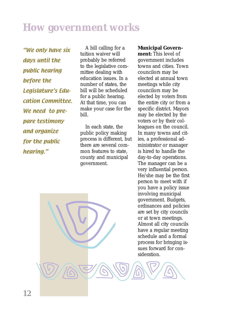## **How government works**

"We only have six days until the public hearing before the Legislature's Education Committee. We need to prepare testimony and organize for the public hearing."

A bill calling for a tuition waiver will probably be referred to the legislative committee dealing with education issues. In a number of states, the bill will be scheduled for a public hearing. At that time, you can make your case for the bill.

In each state, the public policy making process is different, but there are several common features to state, county and municipal government.

#### **Municipal Government:** This level of government includes towns and cities. Town councilors may be elected at annual town meetings while city councilors may be elected by voters from the entire city or from a specific district. Mayors may be elected by the voters or by their colleagues on the council. In many towns and cities, a professional administrator or manager is hired to handle the day-to-day operations. The manager can be a very influential person. He/she may be the first person to meet with if you have a policy issue involving municipal government. Budgets, ordinances and policies are set by city councils or at town meetings. Almost all city councils have a regular meeting schedule and a formal process for bringing issues forward for con-

sideration.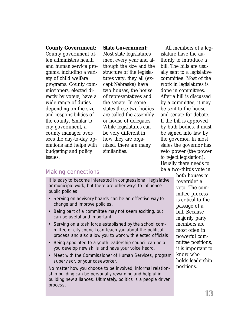#### **County Government:**

County government often administers health and human service programs, including a variety of child welfare programs. County commissioners, elected directly by voters, have a wide range of duties depending on the size and responsibilities of the county. Similar to city government, a county manager oversees the day-to-day operations and helps with budgeting and policy issues.

#### **State Government:**

Most state legislatures meet every year and although the size and the structure of the legislatures vary, they all (except Nebraska) have two houses, the house of representatives and the senate. In some states these two bodies are called the assembly or house of delegates. While legislatures can be very different in how they are organized, there are many similarities.

All members of a legislature have the authority to introduce a bill. The bills are usually sent to a legislative committee. Most of the work in legislatures is done in committees. After a bill is discussed by a committee, it may be sent to the house and senate for debate. If the bill is approved by both bodies, it must be signed into law by the governor. In most states the governor has veto power (the power to reject legislation). Usually there needs to be a two-thirds vote in

#### Making connections

It is easy to become interested in congressional, legislative or municipal work, but there are other ways to influence public policies.

- Serving on advisory boards can be an effective way to change and improve policies.
- Being part of a committee may not seem exciting, but can be useful and important.
- Serving on a task force established by the school committee or city council can teach you about the political process and also allow you to work with elected officials.
- Being appointed to a youth leadership council can help you develop new skills and have your voice heard.
- Meet with the Commissioner of Human Services, program supervisor, or your caseworker.

No matter how you choose to be involved, informal relationship building can be personally rewarding and helpful in building new alliances. Ultimately, politics is a people driven process.

both houses to "override" a veto. The committee process is critical to the passage of a bill. Because majority party members are most often in powerful committee positions, it is important to know who holds leadership positions.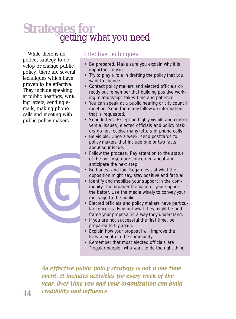## **Strategies for** getting what you need

While there is no perfect strategy to develop or change public policy, there are several techniques which have proven to be effective. They include speaking at public hearings, writing letters, sending emails, making phone calls and meeting with public policy makers.



#### Effective techniques

- Be prepared. Make sure you explain why it is important to you.
- Try to play a role in drafting the policy that you want to change.
- Contact policy makers and elected officials directly but remember that building positive working relationships takes time and patience.
- You can speak at a public hearing or city council meeting. Send them any follow-up information that is requested.
- Send letters. Except on highly visible and controversial issues, elected officials and policy makers do not receive many letters or phone calls.
- Be visible. Once a week, send postcards to policy makers that include one or two facts about your issue.
- Follow the process. Pay attention to the status of the policy you are concerned about and anticipate the next step.
- Be honest and fair. Regardless of what the opposition might say, stay positive and factual.
- Identify and mobilize your support in the community. The broader the base of your support the better. Use the media wisely to convey your message to the public.
- Elected officials and policy makers have particular concerns. Find out what they might be and frame your proposal in a way they understand.
- If you are not successful the first time, be prepared to try again.
- Explain how your proposal will improve the lives of youth in the community.
- Remember that most elected officials are "regular people" who want to do the right thing.

An effective public policy strategy is not a one time event. It includes activities for every week of the year. Over time you and your organization can build credibility and influence.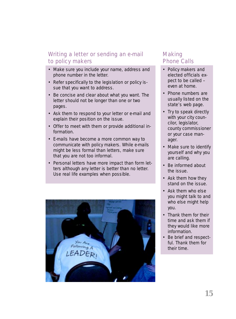#### Writing a letter or sending an e-mail to policy makers

- Make sure you include your name, address and phone number in the letter.
- Refer specifically to the legislation or policy issue that you want to address.
- Be concise and clear about what you want. The letter should not be longer than one or two pages.
- Ask them to respond to your letter or e-mail and explain their position on the issue.
- Offer to meet with them or provide additional information.
- E-mails have become a more common way to communicate with policy makers. While e-mails might be less formal than letters, make sure that you are not too informal.
- Personal letters have more impact than form letters although any letter is better than no letter. Use real life examples when possible.



#### Making Phone Calls

- Policy makers and elected officials expect to be called – even at home.
- Phone numbers are usually listed on the state's web page.
- Try to speak directly with your city councilor, legislator, county commissioner or your case manager.
- Make sure to identify yourself and why you are calling.
- Be informed about the issue.
- Ask them how they stand on the issue.
- Ask them who else you might talk to and who else might help you.
- Thank them for their time and ask them if they would like more information.
- Be brief and respectful. Thank them for their time.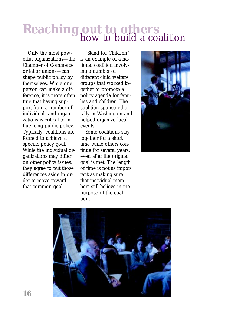## **Reaching out to others** how to build a coalition

Only the most powerful organizations—the Chamber of Commerce or labor unions—can shape public policy by themselves. While one person can make a difference, it is more often true that having support from a number of individuals and organizations is critical to influencing public policy. Typically, coalitions are formed to achieve a specific policy goal. While the individual organizations may differ on other policy issues, they agree to put those differences aside in order to move toward that common goal.

"Stand for Children" is an example of a national coalition involving a number of different child welfare groups that worked together to promote a policy agenda for families and children. The coalition sponsored a rally in Washington and helped organize local events.

Some coalitions stay together for a short time while others continue for several years, even after the original goal is met. The length of time is not as important as making sure that individual members still believe in the purpose of the coalition.



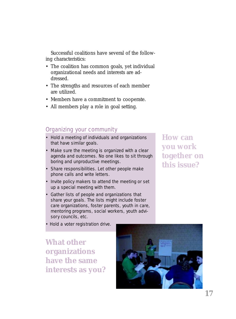Successful coalitions have several of the following characteristics:

- The coalition has common goals, yet individual organizational needs and interests are addressed.
- The strengths and resources of each member are utilized.
- Members have a commitment to cooperate.
- All members play a role in goal setting.

#### Organizing your community

- Hold a meeting of individuals and organizations that have similar goals.
- Make sure the meeting is organized with a clear agenda and outcomes. No one likes to sit through boring and unproductive meetings.
- Share responsibilities. Let other people make phone calls and write letters.
- Invite policy makers to attend the meeting or set up a special meeting with them.
- Gather lists of people and organizations that share your goals. The lists might include foster care organizations, foster parents, youth in care, mentoring programs, social workers, youth advisory councils, etc.

**How can you work together on this issue?**

• Hold a voter registration drive.

**What other organizations have the same interests as you?**

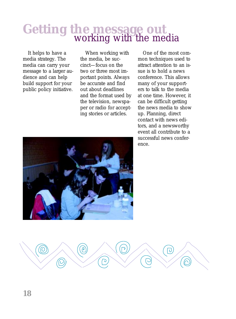# **Getting the message out** working with the media

It helps to have a media strategy. The media can carry your message to a larger audience and can help build support for your public policy initiative.

When working with the media, be succinct—focus on the two or three most important points. Always be accurate and find out about deadlines and the format used by the television, newspaper or radio for accepting stories or articles.

One of the most common techniques used to attract attention to an issue is to hold a news conference. This allows many of your supporters to talk to the media at one time. However, it can be difficult getting the news media to show up. Planning, direct contact with news editors, and a newsworthy event all contribute to a successful news conference.



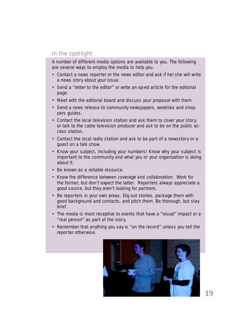#### In the spotlight

A number of different media options are available to you. The following are several ways to employ the media to help you.

- Contact a news reporter or the news editor and ask if he/she will write a news story about your issue.
- Send a "letter to the editor" or write an op-ed article for the editorial page.
- Meet with the editorial board and discuss your proposal with them.
- Send a news release to community newspapers, weeklies and shoppers guides.
- Contact the local television station and ask them to cover your story, or talk to the cable television producer and ask to be on the public access station.
- Contact the local radio station and ask to be part of a newsstory or a guest on a talk show.
- Know your subject, including your numbers! Know why your subject is important to the community and what you or your organization is doing about it.
- Be known as a *reliable* resource.
- Know the difference between coverage and collaboration. Work for the former, but don't expect the latter. Reporters always appreciate a good source, but they aren't looking for partners.
- Be reporters in your own areas. Dig out stories, package them with good background and contacts, and pitch them. Be thorough, but stay brief.
- The media is most receptive to events that have a "visual" impact or a "real person" as part of the story.
- Remember that anything you say is "on the record" unless you tell the reporter otherwise.

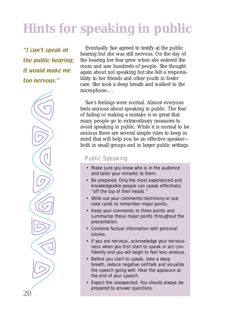## **Hints for speaking in public**

"I can't speak at the public hearing; it would make me too nervous."



Eventually Sue agreed to testify at the public hearing but she was still nervous. On the day of the hearing her fear grew when she entered the room and saw hundreds of people. She thought again about not speaking but she felt a responsibility to her friends and other youth in foster care. She took a deep breath and walked to the microphone….

Sue's feelings were normal. Almost everyone feels anxious about speaking in public. The fear of failing or making a mistake is so great that many people go to extraordinary measures to avoid speaking in public. While it is normal to be anxious there are several simple rules to keep in mind that will help you be an effective speaker both in small groups and in larger public settings.

#### Public Speaking

- Make sure you know who is in the audience and tailor your remarks to them.
- Be prepared. Only the most experienced and knowledgeable people can speak effectively "off the top of their heads."
- Write out your comments/testimony or use note cards to remember major points.
- Keep your comments to three points and summarize those major points throughout the presentation.
- Combine factual information with personal stories.
- If you are nervous, acknowledge your nervousness when you first start to speak or act confidently and you will begin to feel less anxious.
- Before you start to speak, take a deep breath, reduce negative self-talk and visualize the speech going well. Hear the applause at the end of your speech.
- Expect the unexpected. You should always be prepared to answer questions.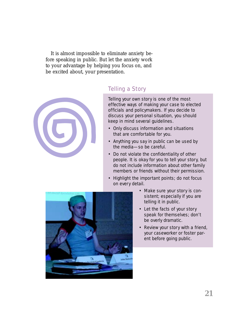It is almost impossible to eliminate anxiety before speaking in public. But let the anxiety work to your advantage by helping you focus on, and be excited about, your presentation.



#### Telling a Story

Telling your own story is one of the most effective ways of making your case to elected officials and policymakers. If you decide to discuss your personal situation, you should keep in mind several guidelines.

- Only discuss information and situations that are comfortable for you.
- Anything you say in public can be used by the media—so be careful.
- Do not violate the confidentiality of other people. It is okay for you to tell your story, but do not include information about other family members or friends without their permission.
- Highlight the important points; do not focus on every detail.



- Make sure your story is consistent; especially if you are telling it in public.
- Let the facts of your story speak for themselves; don't be overly dramatic.
- Review your story with a friend, your caseworker or foster parent before going public.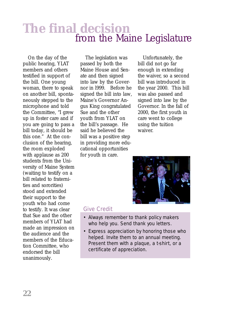## **The final decision** from the Maine Legislature

On the day of the public hearing, YLAT members and others testified in support of the bill. One young woman, there to speak on another bill, spontaneously stepped to the microphone and told the Committee, "I grew up in foster care and if you are going to pass a bill today, it should be this one." At the conclusion of the hearing, the room exploded with applause as 200 students from the University of Maine System (waiting to testify on a bill related to fraternities and sororities) stood and extended their support to the youth who had come to testify. It was clear that Sue and the other members of YLAT had made an impression on the audience and the members of the Education Committee, who endorsed the bill unanimously.

The legislation was passed by both the Maine House and Senate and then signed into law by the Governor in l999. Before he signed the bill into law, Maine's Governor Angus King congratulated Sue and the other youth from YLAT on the bill's passage. He said he believed the bill was a positive step in providing more educational opportunities for youth in care.

Unfortunately, the bill did not go far enough in extending the waiver, so a second bill was introduced in the year 2000. This bill was also passed and signed into law by the Governor. In the fall of 2000, the first youth in care went to college using the tuition waiver.



#### Give Credit

- Always remember to thank policy makers who help you. Send thank you letters.
- Express appreciation by honoring those who helped. Invite them to an annual meeting. Present them with a plaque, a t-shirt, or a certificate of appreciation.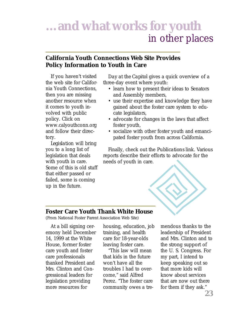## **…and what works for youth** in other places

#### **California Youth Connections Web Site Provides Policy Information to Youth in Care**

If you haven't visited the web site for California Youth Connections, then you are missing another resource when it comes to youth involved with public policy. Click on www.calyouthconn.org and follow their directory.

*Legislation* will bring you to a long list of legislation that deals with youth in care. Some of this is old stuff that either passed or failed, some is coming up in the future.

*Day at the Capitol* gives a quick overview of a three-day event where youth:

- learn how to present their ideas to Senators and Assembly members,
- use their expertise and knowledge they have gained about the foster care system to educate legislators,
- advocate for changes in the laws that affect foster youth,
- socialize with other foster youth and emancipated foster youth from across California.

Finally, check out the *Publications* link. Various reports describe their efforts to advocate for the needs of youth in care.

#### **Foster Care Youth Thank White House**

(From National Foster Parent Association Web Site)

At a bill signing ceremony held December 14, 1999 at the White House, former foster care youth and foster care professionals thanked President and Mrs. Clinton and Congressional leaders for legislation providing more resources for

housing, education, job training, and health care for 18-year-olds leaving foster care.

"This law will mean that kids in the future won't have all the troubles I had to overcome," said Alfred Perez. "The foster care community owes a tremendous thanks to the leadership of President and Mrs. Clinton and to the strong support of the U. S. Congress. For my part, I intend to keep speaking out so that more kids will know about services that are now out there for them if they ask."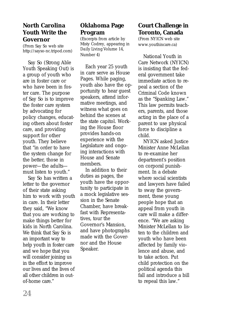#### **North Carolina Youth Write the Governor**

(From Say So web site http://sayso-nc.tripod.com)

Say So (Strong Able Youth Speaking Out) is a group of youth who are in foster care or who have been in foster care. The purpose of Say So is to improve the foster care system by advocating for policy changes, educating others about foster care, and providing support for other youth. They believe that "in order to have the system change for the better, those in power—the adults must listen to youth."

Say So has written a letter to the governor of their state asking him to work with youth in care. In their letter they said, "We know that you are working to make things better for kids in North Carolina. We think that Say So is an important way to help youth in foster care and we hope that you will consider joining us in the effort to improve our lives and the lives of all other children in outof-home care."

#### **Oklahoma Page Program**

(Excerpts from article by Misty Codrey, appearing in *Daily Living* Volume 14, Number 4)

Each year 25 youth in care serve as House Pages. While paging, youth also have the opportunity to hear guest speakers, attend informative meetings, and witness what goes on behind the scenes at the state capitol. Working the House floor provides hands-on experience with the Legislature and ongoing interactions with House and Senate members.

In addition to their duties as pages, the youth have the opportunity to participate in a mock legislative session in the Senate Chamber, have breakfast with Representatives, tour the Governor's Mansion, and have photographs made with the Governor and the House Speaker.

#### **Court Challenge in Toronto, Canada**

(From NYICN web site www.youthincare.ca)

National Youth in Care Network (NYICN) is insisting that the federal government take immediate action to repeal a section of the Criminal Code known as the "Spanking Law." This law permits teachers, parents, and those acting in the place of a parent to use physical force to discipline a child.

NYICN asked Justice Minister Anne McLellan to re-examine her department's position on corporal punishment. In a debate where social scientists and lawyers have failed to sway the government, these young people hope that an appeal from youth in care will make a difference. "We are asking Minister McLellan to listen to the children and youth who have been affected by family violence and abuse, and to take action. Put child protection on the political agenda this fall and introduce a bill to repeal this law."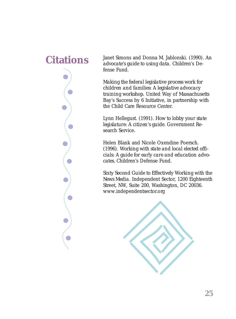**Citations** Janet Simons and Donna M. Jablonski. (1990). *An advocate's guide to using data.* Children's Defense Fund.

> *Making the federal legislative process work for children and families: A legislative advocacy training workshop.* United Way of Massachusetts Bay's Success by 6 Initiative, in partnership with the Child Care Resource Center.

Lynn Hellegust. (1991). *How to lobby your state legislature: A citizen's guide.* Government Research Service.

Helen Blank and Nicole Oxendine Poersch. (1996). *Working with state and local elected officials: A guide for early care and education advocates.* Children's Defense Fund.

*Sixty Second Guide to Effectively Working with the News Media.* Independent Sector, 1200 Eighteenth Street, NW, Suite 200, Washington, DC 20036. www.independentsector.org

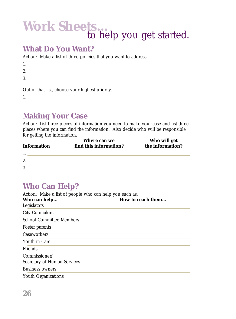## **Work Sheets…** to help you get started.

### **What Do You Want?**

Action: Make a list of three policies that you want to address.

| л.      |  |
|---------|--|
| ິ<br>∼. |  |
| 2<br>ω. |  |
|         |  |

Out of that list, choose your highest priority.

1.

## **Making Your Case**

Action: List three pieces of information you need to make your case and list three places where you can find the information. Also decide who will be responsible for getting the information.

| <b>Information</b> | Where can we<br>find this information? | Who will get<br>the information? |  |
|--------------------|----------------------------------------|----------------------------------|--|
|                    |                                        |                                  |  |
| 2.                 |                                        |                                  |  |
| 3.                 |                                        |                                  |  |

## **Who Can Help?**

| Action: Make a list of people who can help you such as: |                   |  |
|---------------------------------------------------------|-------------------|--|
| Who can help                                            | How to reach them |  |
| Legislators                                             |                   |  |
| <b>City Councilors</b>                                  |                   |  |
| <b>School Committee Members</b>                         |                   |  |
| Foster parents                                          |                   |  |
| Caseworkers                                             |                   |  |
| Youth in Care                                           |                   |  |
| Friends                                                 |                   |  |
| Commissioner/                                           |                   |  |
| Secretary of Human Services                             |                   |  |
| <b>Business owners</b>                                  |                   |  |
| Youth Organizations                                     |                   |  |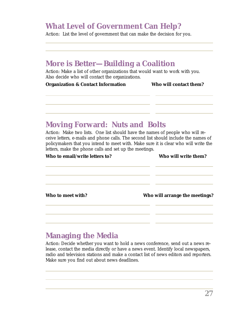## **What Level of Government Can Help?**

Action: List the level of government that can make the decision for you.

### **More is Better—Building a Coalition**

Action: Make a list of other organizations that would want to work with you. Also decide who will contact the organizations.

**Organization & Contact Information Who will contact them?** 

### **Moving Forward: Nuts and Bolts**

Action: Make two lists. One list should have the names of people who will receive letters, e-mails and phone calls. The second list should include the names of policymakers that you intend to meet with. Make sure it is clear who will write the letters, make the phone calls and set up the meetings.

| Who to email/write letters to? | Who will write them?           |  |
|--------------------------------|--------------------------------|--|
| Who to meet with?              | Who will arrange the meetings? |  |
|                                |                                |  |

### **Managing the Media**

Action: Decide whether you want to hold a news conference, send out a news release, contact the media directly or have a news event. Identify local newspapers, radio and television stations and make a contact list of news editors and reporters. Make sure you find out about news deadlines.